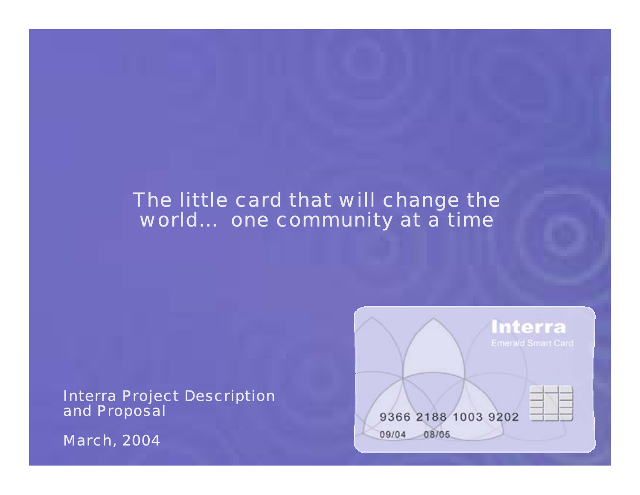## The little card that will change the world… one community at a time

Interra Project Description and Proposal

March, 2004

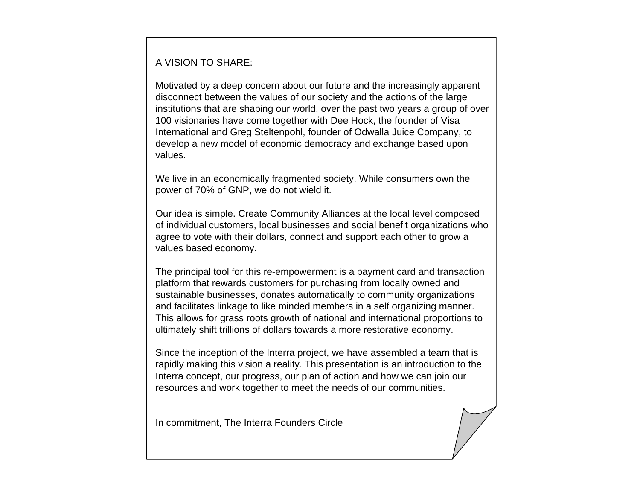#### A VISION TO SHARE:

Motivated by a deep concern about our future and the increasingly apparent disconnect between the values of our society and the actions of the large institutions that are shaping our world, over the past two years a group of over 100 visionaries have come together with Dee Hock, the founder of Visa International and Greg Steltenpohl, founder of Odwalla Juice Company, to develop a new model of economic democracy and exchange based upon values.

We live in an economically fragmented society. While consumers own the power of 70% of GNP, we do not wield it.

Our idea is simple. Create Community Alliances at the local level composed of individual customers, local businesses and social benefit organizations who agree to vote with their dollars, connect and support each other to grow a values based economy.

The principal tool for this re-empowerment is a payment card and transaction platform that rewards customers for purchasing from locally owned and sustainable businesses, donates automatically to community organizations and facilitates linkage to like minded members in a self organizing manner. This allows for grass roots growth of national and international proportions to ultimately shift trillions of dollars towards a more restorative economy.

Since the inception of the Interra project, we have assembled a team that is rapidly making this vision a reality. This presentation is an introduction to the Interra concept, our progress, our plan of action and how we can join our resources and work together to meet the needs of our communities.

In commitment, The Interra Founders Circle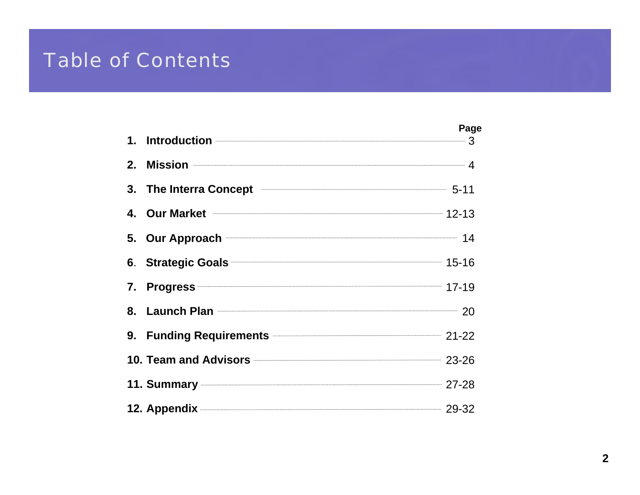### **Table of Contents** *change the world*

|    |                                                                | Page |
|----|----------------------------------------------------------------|------|
|    | 1. Introduction 23                                             |      |
| 2. | Mission 4                                                      |      |
|    | 3. The Interra Concept <b>Example 20</b> 5-11                  |      |
|    | 4. Our Market <b>2008</b> 12-13                                |      |
|    | 5. Our Approach <b>Constanting to the Section Automaker 14</b> |      |
|    | 6. Strategic Goals <b>Communicates</b> 15-16                   |      |
|    | 7. Progress 17-19                                              |      |
| 8. | Launch Plan 20                                                 |      |
|    | 9. Funding Requirements 21-22                                  |      |
|    | 10. Team and Advisors <b>Constitution</b> 23-26                |      |
|    | 11. Summary 27-28                                              |      |
|    | 12. Appendix 29-32                                             |      |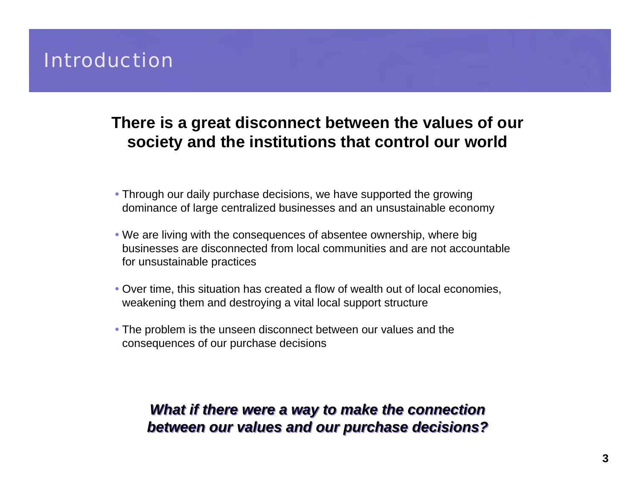## **Introduction**

### **There is a great disconnect between the values of our society and the institutions that control our world**

- Through our daily purchase decisions, we have supported the growing dominance of large centralized businesses and an unsustainable economy
- We are living with the consequences of absentee ownership, where big businesses are disconnected from local communities and are not accountable for unsustainable practices
- Over time, this situation has created a flow of wealth out of local economies, weakening them and destroying a vital local support structure
- The problem is the unseen disconnect between our values and the consequences of our purchase decisions

### *What if there were a way to make the connection What if there were a way to make the connection between our values and our purchase decisions? between our values and our purchase decisions?*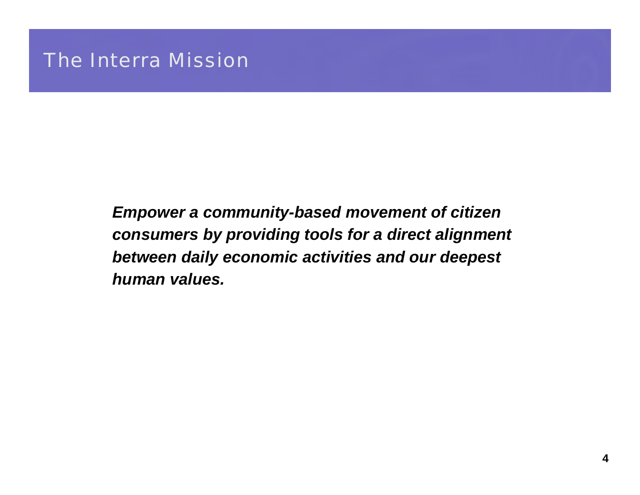*Empower a community-based movement of citizen consumers by providing tools for a direct alignment between daily economic activities and our deepest human values.*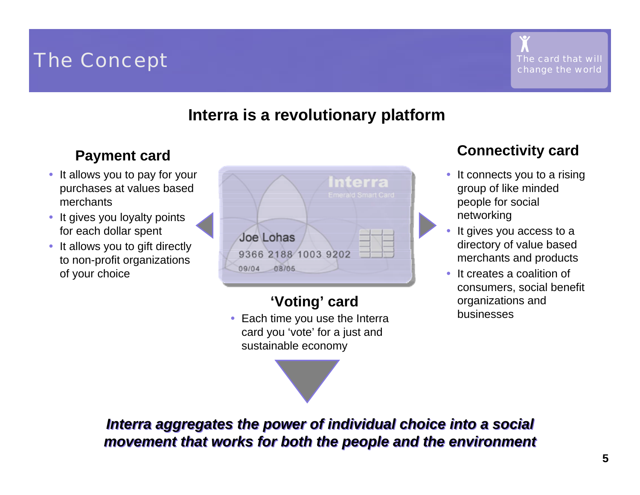

### **Interra is a revolutionary platform**

- It allows you to pay for your purchases at values based merchants
- $\bullet$  It gives you loyalty points for each dollar spent
- $\bullet$  It allows you to gift directly to non-profit organizations of your choice

|                                                 | NGIC<br><b>Emerald Smart Card</b> |
|-------------------------------------------------|-----------------------------------|
| Joe Lohas<br>9366 2188 1003 9202<br>09/04 08/05 |                                   |

## **'Voting' card**

• Each time you use the Interra card you 'vote' for a just and sustainable economy



## **Payment card Connectivity card**

- • It connects you to a rising group of like minded people for social networking
- • It gives you access to a directory of value based merchants and products
- • It creates a coalition of consumers, social benefit organizations and businesses

*Interra aggregates the power of individual choice into a social Interra aggregates the power of individual choice into a social movement that works for both the people and the environment movement that works for both the people and the environment*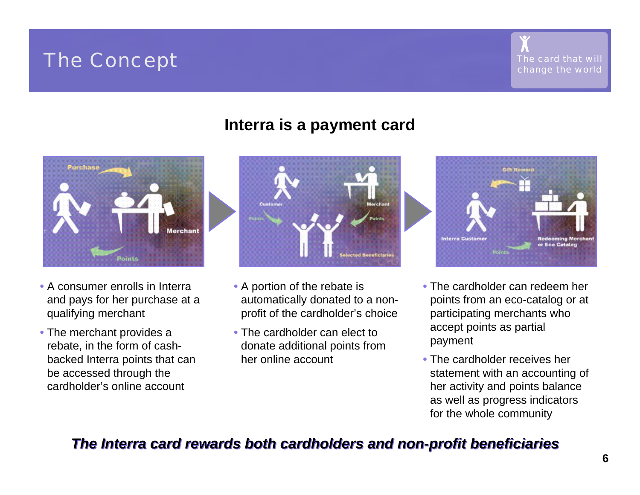### **Interra is a payment card**



- A consumer enrolls in Interra and pays for her purchase at a qualifying merchant
- The merchant provides a rebate, in the form of cashbacked Interra points that can be accessed through the cardholder's online account



- A portion of the rebate is automatically donated to a nonprofit of the cardholder's choice
- The cardholder can elect to donate additional points from her online account



- The cardholder can redeem her points from an eco-catalog or at participating merchants who accept points as partial payment
- The cardholder receives her statement with an accounting of her activity and points balance as well as progress indicators for the whole community

### *The Interra card rewards both cardholde The Interra card rewards both cardholders and non-profit beneficiaries rs and non-profit beneficiaries*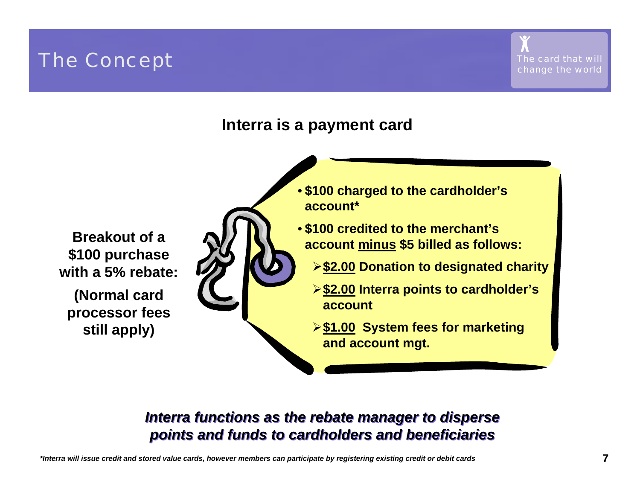## **The Concept concept concept change the card that will change the world change the world**





**Breakout of a \$100 purchase with a 5% rebate:**

**(Normal card processor fees still apply)**

- **\$100 charged to the cardholder's account\***
- **\$100 credited to the merchant's account minus \$5 billed as follows:**
	- ¾**\$2.00 Donation to designated charity**
	- ¾**\$2.00 Interra points to cardholder's account**
	- ¾**\$1.00 System fees for marketing and account mgt.**

### *Interra functions as the rebate manager to disperse Interra functions as the rebate manager to disperse points and funds to cardholders and beneficiaries points and funds to cardholders and beneficiaries*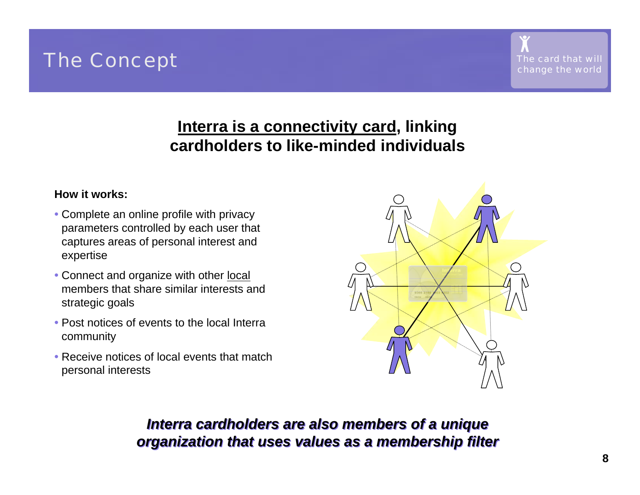### **Interra is a connectivity card, linking cardholders to like-minded individuals**

### **How it works:**

- Complete an online profile with privacy parameters controlled by each user that captures areas of personal interest and expertise
- Connect and organize with other <u>local</u> members that share similar interests and strategic goals
- Post notices of events to the local Interra community
- Receive notices of local events that match personal interests



### *Interra cardholders are also members of a unique Interra cardholders are also members of a unique organization that uses values as a membership filter organization that uses values as a membership filter*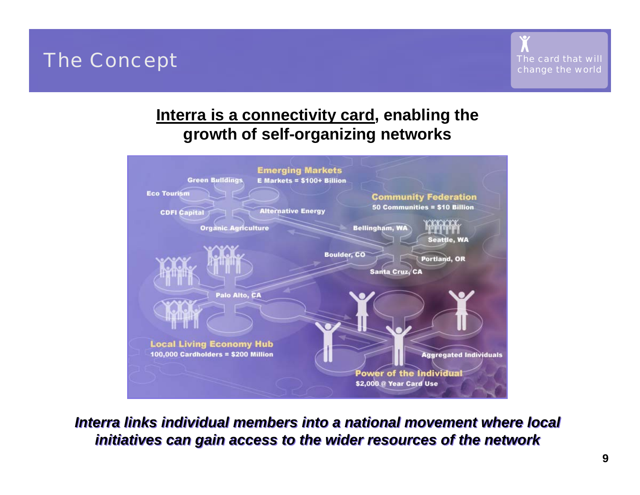

### **Interra is a connectivity card, enabling the growth of self-organizing networks**



*Interra links individual members into a national movement where local Interra links individual members into a national movement where local initiatives can gain access to the wider resources of the network initiatives can gain access to the wider resources of the network*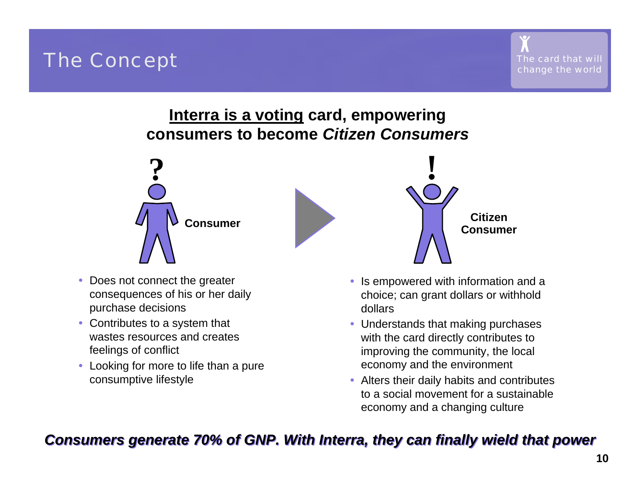## **Interra is a voting card, empowering consumers to become** *Citizen Consumers*



- $\bullet$  Does not connect the greater consequences of his or her daily purchase decisions
- Contributes to a system that wastes resources and creates feelings of conflict
- $\bullet$  Looking for more to life than a pure consumptive lifestyle



- • Is empowered with information and a choice; can grant dollars or withhold dollars
- Understands that making purchases with the card directly contributes to improving the community, the local economy and the environment
- Alters their daily habits and contributes to a social movement for a sustainableeconomy and a changing culture

### *Consumers generate 70% of GNP. With Interra, they can finally wield that power Consumers generate 70% of GNP. With Interra, they can finally wield that power*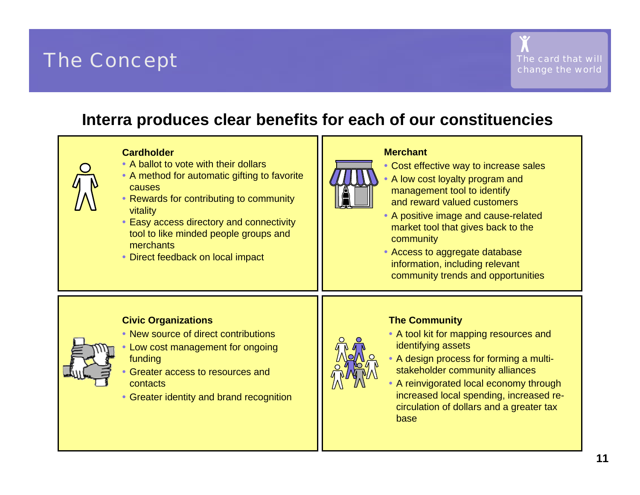### **Interra produces clear benefits for each of our constituencies**

#### **Cardholder**

- A ballot to vote with their dollars
- A method for automatic gifting to favorite causes
- Rewards for contributing to community vitality
- Easy access directory and connectivity tool to like minded people groups and merchants
- Direct feedback on local impact



#### **Merchant**

- Cost effective way to increase sales
- A low cost loyalty program and management tool to identify and reward valued customers
- A positive image and cause-related market tool that gives back to the community
- Access to aggregate database information, including relevant community trends and opportunities



#### **Civic Organizations**

- New source of direct contributions
- Low cost management for ongoing funding
- Greater access to resources and contacts
- Greater identity and brand recognition

**The Community**



- A tool kit for mapping resources and identifying assets
- A design process for forming a multistakeholder community alliances
- A reinvigorated local economy through increased local spending, increased recirculation of dollars and a greater tax base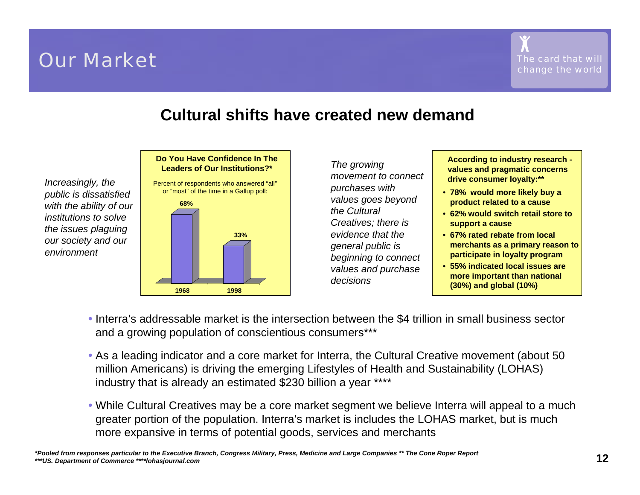## **Our Market Constanting the Card that will constant of the Card that will constant of the Card that will constant of the Card that will constant**  $\mathcal{L}$

### **Cultural shifts have created new demand**

*Increasingly, the public is dissatisfied with the ability of our institutions to solve the issues plaguing our society and our environment*

#### **Do You Have Confidence In The Leaders of Our Institutions?\***

Percent of respondents who answered "all" or "most" of the time in a Gallup poll: •**1968 1998 68%33%**

*The growing movement to connect purchases with values goes beyond the CulturalCreatives; there is evidence that the general public is beginning to connect values and purchase decisions*

**According to industry research values and pragmatic concerns drive consumer loyalty:\*\***

- **78% would more likely buy a product related to a cause**
- **62% would switch retail store to support a cause**
- **67% rated rebate from local merchants as a primary reason to participate in loyalty program**
- **55% indicated local issues are more important than national (30%) and global (10%)**
- Interra's addressable market is the intersection between the \$4 trillion in small business sector and a growing population of conscientious consumers\*\*\*
- As a leading indicator and a core market for Interra, the Cultural Creative movement (about 50 million Americans) is driving the emerging Lifestyles of Health and Sustainability (LOHAS) industry that is already an estimated \$230 billion a year \*\*\*\*
- While Cultural Creatives may be a core market segment we believe Interra will appeal to a much greater portion of the population. Interra's market is includes the LOHAS market, but is much more expansive in terms of potential goods, services and merchants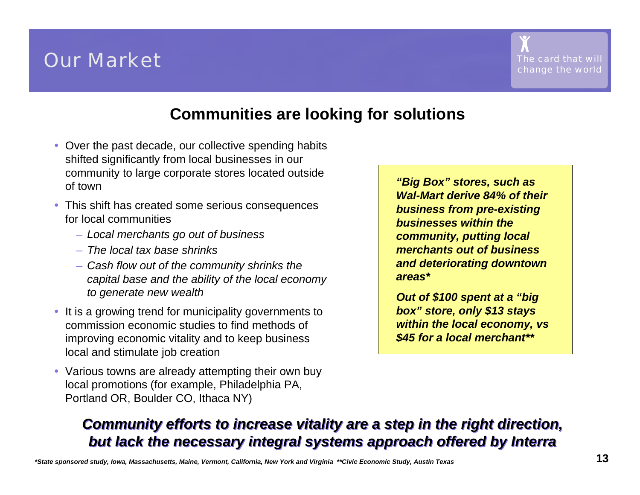## **Our Market Constanting that will be a set of the Card that will constant of the card that will constant of the card that will constant**  $\mathbf{C}$

### **Communities are looking for solutions**

- Over the past decade, our collective spending habits shifted significantly from local businesses in our community to large corporate stores located outside of town
- This shift has created some serious consequences for local communities
	- *Local merchants go out of business*
	- *The local tax base shrinks*
	- *Cash flow out of the community shrinks the capital base and the ability of the local economy to generate new wealth*
- It is a growing trend for municipality governments to commission economic studies to find methods of improving economic vitality and to keep business local and stimulate job creation
- Various towns are already attempting their own buy local promotions (for example, Philadelphia PA, Portland OR, Boulder CO, Ithaca NY)

*"Big Box" stores, such as Wal-Mart derive 84% of their business from pre-existing businesses within the community, putting local merchants out of business and deteriorating downtown areas\**

*Out of \$100 spent at a "big box" store, only \$13 stays within the local economy, vs \$45 for a local merchant\*\**

### *Community efforts to increase vitality are a step in the right direction, Community efforts to increase vitality are a step in the right direction, but lack the necessary integral systems approach offered by Interra but lack the necessary integral systems approach offered by Interra*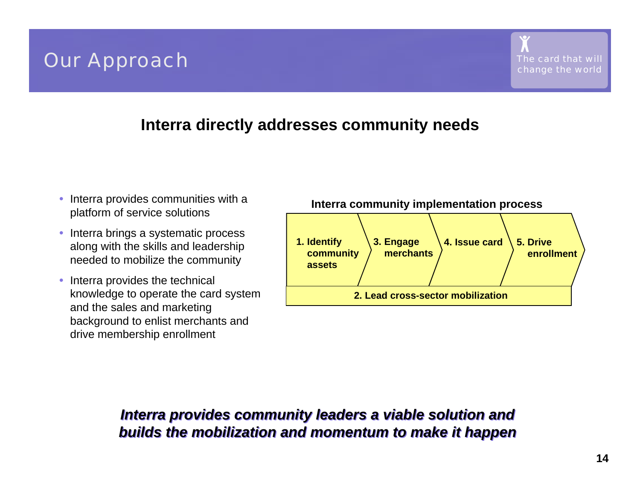## **Our Approach change the world change the world change the world change the world change the world**

### **Interra directly addresses community needs**

- • Interra provides communities with a platform of service solutions
- $\bullet$  Interra brings a systematic process along with the skills and leadership needed to mobilize the community
- • Interra provides the technical knowledge to operate the card system and the sales and marketing background to enlist merchants and drive membership enrollment



### *Interra provides community leaders a viable solution and Interra provides community leaders a viable solution and builds the mobilization and momentum to make it happen builds the mobilization and momentum to make it happen*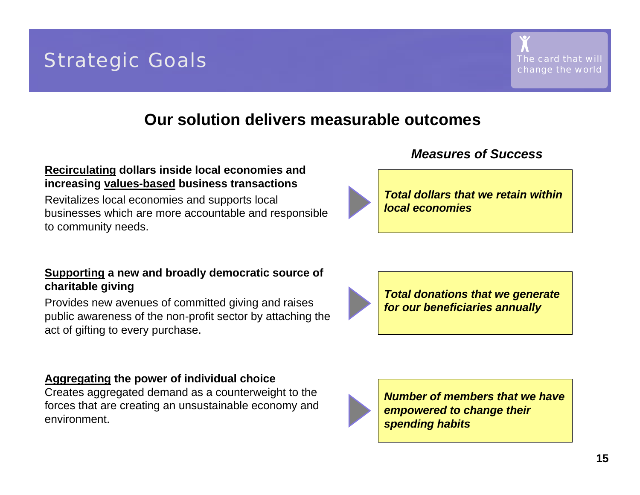### **Our solution delivers measurable outcomes**

### **Recirculating dollars inside local economies and increasing values-based business transactions**

Revitalizes local economies and supports local businesses which are more accountable and responsible to community needs.

### **Supporting a new and broadly democratic source of charitable giving**

Provides new avenues of committed giving and raises public awareness of the non-profit sector by attaching the act of gifting to every purchase.

### **Aggregating the power of individual choice**

Creates aggregated demand as a counterweight to the forces that are creating an unsustainable economy and environment.



*Number of members that we have empowered to change their spending habits*

### *Measures of Success*



*Total dollars that we retain within local economies*

*Total donations that we generate for our beneficiaries annually*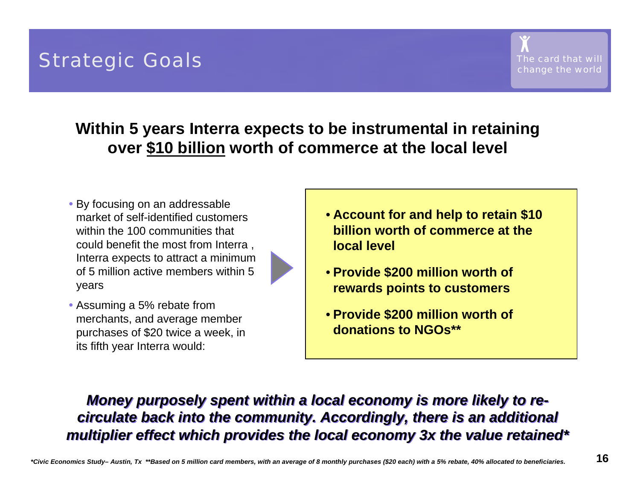

## **Within 5 years Interra expects to be instrumental in retaining over \$10 billion worth of commerce at the local level**

• By focusing on an addressable market of self-identified customers within the 100 communities thatcould benefit the most from Interra , Interra expects to attract a minimum of 5 million active members within 5 years



• Assuming a 5% rebate from merchants, and average member purchases of \$20 twice a week, in its fifth year Interra would:

- **Account for and help to retain \$10 billion worth of commerce at the local level**
- **Provide \$200 million worth of rewards points to customers**
- **Provide \$200 million worth of donations to NGOs\*\***

### *Money purposely spent within a local economy is more likely to re-Money purposely spent within a local economy is more likely to recirculate back into the community. Accordingly, there is an additional circulate back into the community. Accordingly, there is an additional multiplier effect which provides the local economy 3x the value retained\* multiplier effect which provides the local economy 3x the value retained\**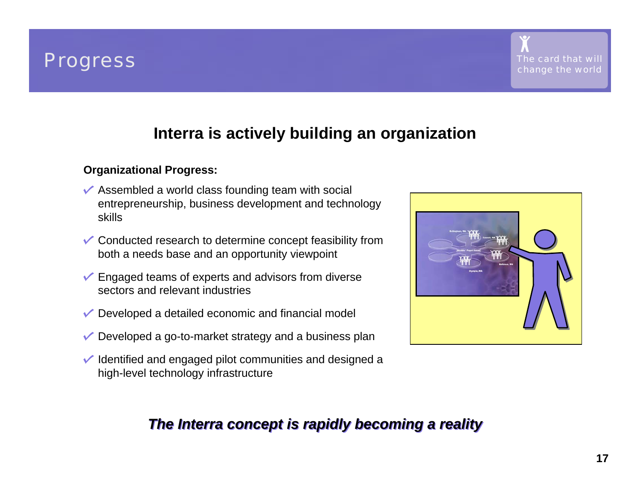



### **Interra is actively building an organization**

### **Organizational Progress:**

- $\sqrt{\ }$  Assembled a world class founding team with social entrepreneurship, business development and technology skills
- Conducted research to determine concept feasibility from both a needs base and an opportunity viewpoint
- $\checkmark$  Engaged teams of experts and advisors from diverse sectors and relevant industries
- $\vee$  Developed a detailed economic and financial model
- $\vee$  Developed a go-to-market strategy and a business plan
- $\vee$  Identified and engaged pilot communities and designed a high-level technology infrastructure



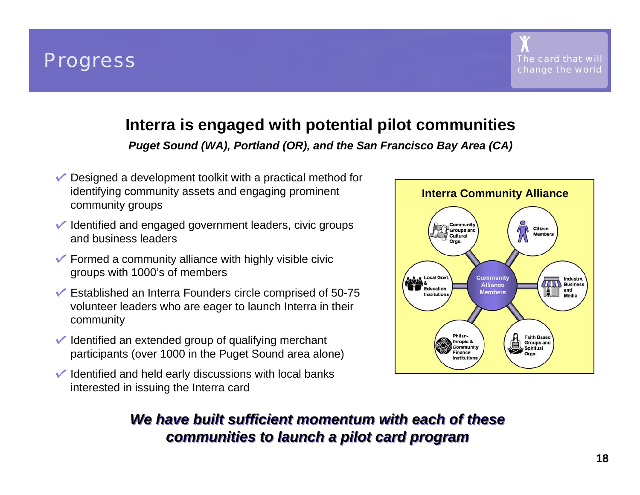



### **Interra is engaged with potential pilot communities**

*Puget Sound (WA), Portland (OR), and the San Francisco Bay Area (CA)*

- $\vee$  Designed a development toolkit with a practical method for identifying community assets and engaging prominent community groups
- $\sqrt{\ }$  Identified and engaged government leaders, civic groups and business leaders
- $\checkmark$  Formed a community alliance with highly visible civic groups with 1000's of members
- $\checkmark$  Established an Interra Founders circle comprised of 50-75 volunteer leaders who are eager to launch Interra in their community
- $\vee$  Identified an extended group of qualifying merchant participants (over 1000 in the Puget Sound area alone)
- $\checkmark$  Identified and held early discussions with local banks interested in issuing the Interra card



### *We have built sufficient momentum with each of these We have built sufficient momentum with each of these communities to launch a pilot card program communities to launch a pilot card program*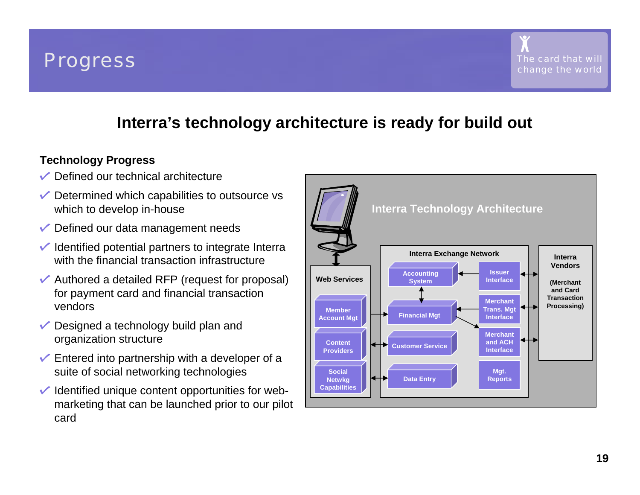



### **Interra's technology architecture is ready for build out**

### **Technology Progress**

- $\sqrt{\phantom{a}}$  Defined our technical architecture
- $\sqrt{\ }$  Determined which capabilities to outsource vs which to develop in-house
- $\sqrt{\phantom{a}}$  Defined our data management needs
- $\sqrt{\ }$  Identified potential partners to integrate Interra with the financial transaction infrastructure
- $\sqrt{\ }$  Authored a detailed RFP (request for proposal) for payment card and financial transaction vendors
- $\vee$  Designed a technology build plan and organization structure
- $\sqrt{\ }$  Entered into partnership with a developer of a suite of social networking technologies
- $\vee$  Identified unique content opportunities for webmarketing that can be launched prior to our pilot card

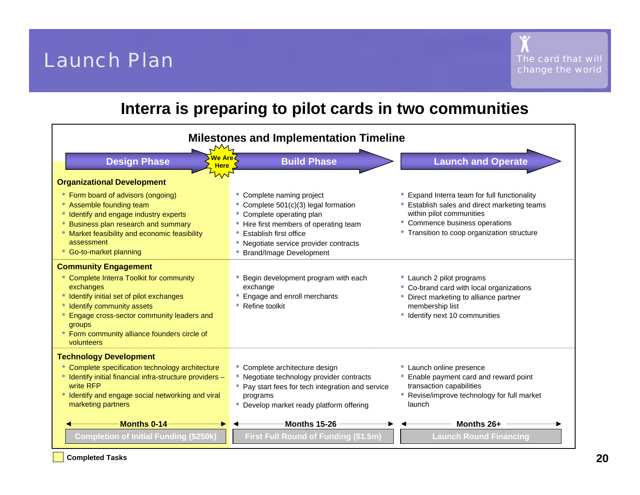## *The card that will* Launch Plan

### **Interra is preparing to pilot cards in two communities**



**Completed Tasks**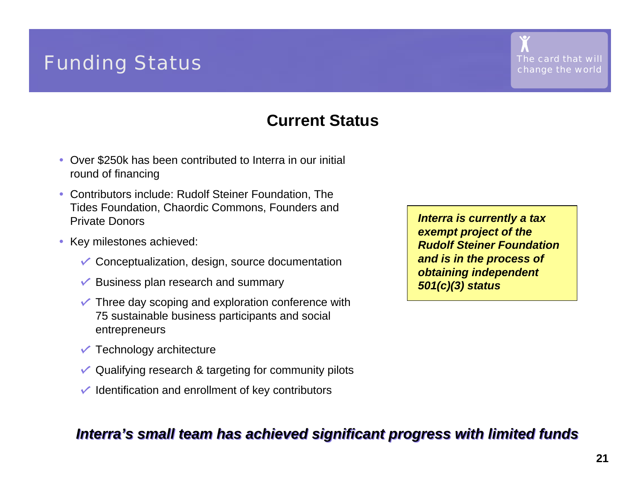## **Funding Status change**  $\frac{1}{\text{The card that will}}$

### **Current Status**

- Over \$250k has been contributed to Interra in our initial round of financing
- Contributors include: Rudolf Steiner Foundation, The Tides Foundation, Chaordic Commons, Founders and Private Donors
- • Key milestones achieved:
	- $\checkmark$  Conceptualization, design, source documentation
	- $\sqrt{\ }$  Business plan research and summary
	- $\checkmark$  Three day scoping and exploration conference with 75 sustainable business participants and social entrepreneurs
	- $\sqrt{\ }$  Technology architecture
	- $\vee$  Qualifying research & targeting for community pilots
	- $\vee$  Identification and enrollment of key contributors

### *Interra's small team has achieved significant progress with limited funds Interra's small team has achieved significant progress with limited funds*

*Interra is currently a tax exempt project of the Rudolf Steiner Foundation and is in the process of obtaining independent 501(c)(3) status*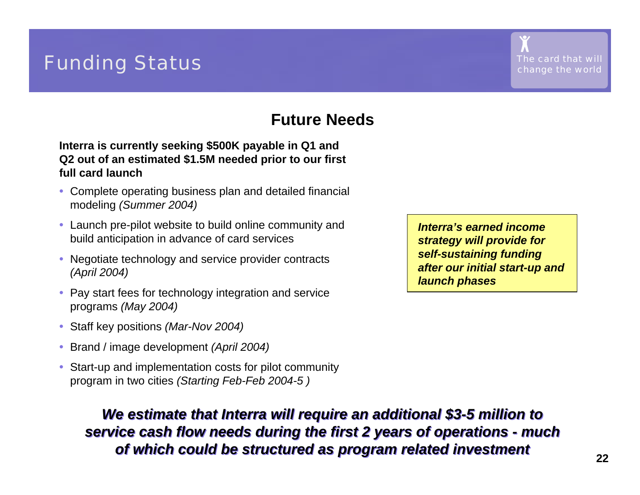## **Funding Status change**  $\frac{1}{\text{The card that will}}$

### **Future Needs**

**Interra is currently seeking \$500K payable in Q1 and Q2 out of an estimated \$1.5M needed prior to our first full card launch**

- Complete operating business plan and detailed financial modeling *(Summer 2004)*
- Launch pre-pilot website to build online community and build anticipation in advance of card services
- • Negotiate technology and service provider contracts *(April 2004)*
- $\bullet$  Pay start fees for technology integration and service programs *(May 2004)*
- Staff key positions *(Mar-Nov 2004)*
- $\bullet$ Brand / image development *(April 2004)*
- • Start-up and implementation costs for pilot community program in two cities *(Starting Feb-Feb 2004-5 )*

*Interra's earned income strategy will provide for self-sustaining funding after our initial start-up and launch phases*

*We estimate that Interra will require an additional \$3-5 million to We estimate that Interra will require an additional \$3-5 million to service cash flow needs during the first 2 years of operations - much service cash flow needs during the first 2 years of operations - much of which could be structured as program related investment of which could be structured as program related investment*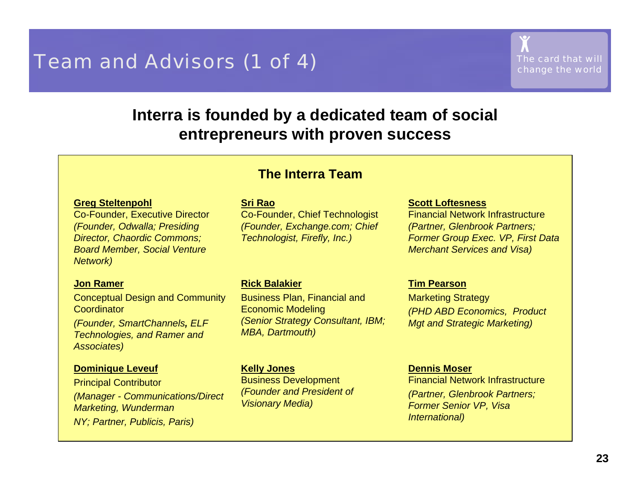## **Team and Advisors (1 of 4)** *The card that will The card that will*

### **Interra is founded by a dedicated team of social entrepreneurs with proven success**

### **The Interra Team**

#### **Greg Steltenp o hl**

Co-Founder, Executive Director *(Founder, Odwalla; Presiding Director, Chaordic Commons; Board Member, Social Venture Network)*

#### **Jon Ramer**

Concept ual Design and Communit y Coordinator

*(Founder, SmartChannels, ELF Technologies, and Ram er and Associates)*

#### **Domini q u e Leveuf**

Principal Contributor *(Manager - Communic ations/Direct Marketing, Wunderm a n NY; Partner, Publicis, Paris)*

#### **Sri Rao**

Co-Founder, Chief Technologist *(Founder, Exchange.com; Chief Technologist, Firefly, Inc.)*

#### **Rick B alakier**

Business Plan, Financi al and Economic Mod elin g *(Senior Strategy C onsultant, IBM; MBA, Dartmouth)*

#### **Kelly Jones**

Busin ess D evel opme nt *(Founder and President of Visionary Media)*

#### **Scott Loftesness**

Financial Network Infrastructure*(Partner, Glenbrook Partners; Former Group Exec. VP, First Data Merchant Services and Visa)*

#### **Tim Pears o n**

Marketing Strategy *(PHD ABD Economics, Product Mgt and Strategic Marketing)*

#### **Dennis M oser**

Financial Network Infrastructure*(Partner, Glenbrook Partners; Former Senior VP, Visa International)*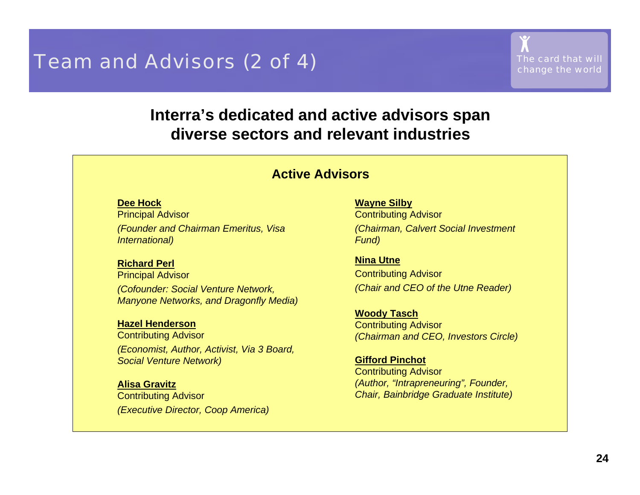## **Team and Advisors (2 of 4)** *The card that will* **The card that will Change the world**

### **Interra's dedicated and active advisors span diverse sectors and relevant industries**

### **Active Advisors**

#### **Dee Hock**

Principal A dvisor *(Founder and Chairman Emeritus, Visa Internatio n al)*

#### **Richard Perl**

Principal A dvisor *(Cofounder: Social Venture Network, Manyone Networks, and Dragonfly Media)*

#### **Hazel Henderson**

Contributing Advis or *(Economist, Author, Activist, Via 3 Board, Social Venture Network)*

#### **Alisa Gravitz**

Contrib utin g Advisor *(Executive Director, C oop America)* **Way ne Sil b y**

Contrib utin g Advisor *(Chairman, Calvert Social Investment Fund)*

**Nina Utne** Contributing Advisor *(Chair and CEO of the Utne Reader)*

**Wo o d y Tasch** Contrib utin g Advisor *(Chairman and CEO, I nvestors Circle)*

**Gifford Pinchot**Contrib utin g Advisor *(Author, "Intrapreneuring", Founder, Chair, Bainbridg e Gra du ate Institute)*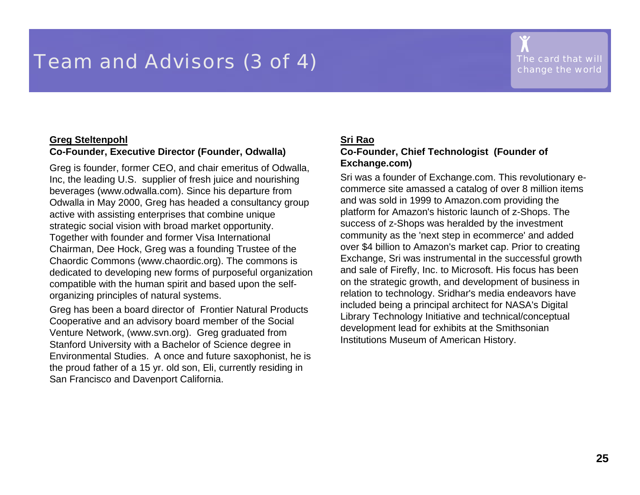## **Team and Advisors (3 of 4)** *The card that will* **The card that will Change the world**

#### **Greg Steltenp o hl C o-Founder, E x e c uti v e Dire ctor (Founder, Odwalla)**

Greg is founder, former CEO, and chair emeritus of Odwalla, Inc, the leading U.S. supplier of fresh juice and nourishing beverages (www.odwalla.com). Since his departure from Odwalla i n May 2000, Greg has headed a consultancy group active with assisting enterprises that combine unique strategic social vision with broad market opportunity. Together with founder and former Visa International Chairman, Dee H ock, Greg w as a founding Trustee of the Chaordic Commons (www.chaordic.org). The commons is dedicated to developing new forms of purposeful organi zation compati ble with the human spirit and based upon the selforganizing pri nciples of natural systems.

Greg has been a board director of Frontier Natural Products Cooper ative and an advis ory board member of the Social Venture N etwork, (ww w.svn.org). Greg graduated from Stanford University with a Bachelor of Science degree i n Environmental Studies. A once and future saxophonist, he is the proud father of a 15 yr. old son, Eli, currently residing in San Francisco and Davenport California.

#### **Sri Rao**

#### **C o-Founder, C hief Te c hnologist (Founder of Exchange. com)**

Sri was a founder of Exchange.com. This revol utionary ecommerce site amassed a catalog of over 8 million items and was sold in 1999 to Amazon.com provi ding the platform for Amazon's historic launch of z-S hops. The success of z-Sho ps w as herald e d by the investment community as the 'next step in ecommerce' and added over \$4 billion to Amazon's market cap. Prior to cre atin g Exchange, Sri was instrumental i n the successful growth and sal e of Firefly, Inc. to Microsoft. His focus has be enon the strategic growth, and development of busi ness in rel atio n to technology. Sridh ar's media e n d e avors h ave included being a principal architect for NASA's Digital Library Techn ology Initiative and technical/conceptual development lead for exhibits at the Smithsonian Institutions Museum of American History.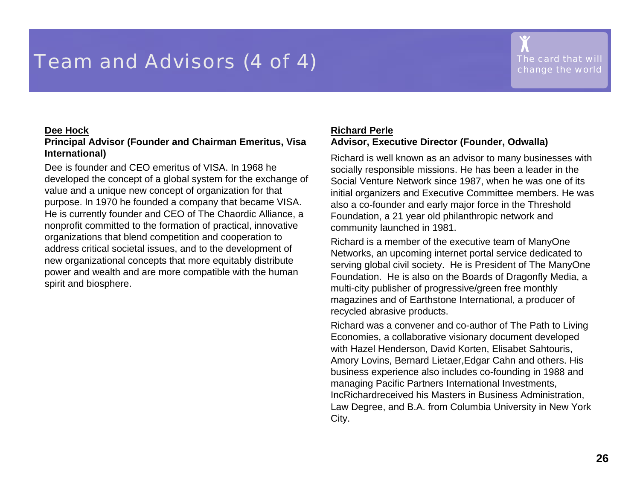## **Team and Advisors (4 of 4)** *The card that will The card that will*

#### **Dee Hock**

#### **Principal A d vis or (Founder and Chairm a n E m eritus, Vis a International)**

Dee is founder and CEO emeritus of VISA. In 1968 he developed the concept of a global system for the exchange of value and a unique new c oncept of organization f or t hat purpose. In 1970 he founded a company that became VISA. He is currently founder and CEO of The Chaordic Alliance, a nonprofit committed to the formation of practical, innovative organizati ons that blend competition and cooperation to address critical societal issues, and to the devel opment of new organizational concepts that more equitably distribute power and wealth and are more compati ble with the human s pirit and biosphere.

### **Richard PerleA d vis or, Ex e cutiv e Dire ctor (Founder, Odwalla)**

Richard is well known as an advi sor to many businesses with socially respo nsible missions. H e has b een a lea d er in the Social Venture Network since 1987, when he was one of its initial organizers and Executive C ommittee members. He was also a co-founder and early major force i n the Threshold Foundati on, a 21 year old philanthropic network and community launched in 1981.

Richard is a member of the executive team of ManyOne Networks, an upcoming i nternet portal servi ce dedicated to serving global civil society. He is President of The ManyOne Foundati on. He is also on the Boards of Dragonfly Media, a multi-city publish er of pro gressiv e/gr e e n fre e monthly magazines and of Earthstone Internati onal, a producer of recycled abrasive pro ducts.

Richard was a convener and co-author of The Path to Living Economies, a collaborative visionary document developed with Hazel Henderson, David Korten, Elisabet Sahtouris, Amory Lovins, Bernard Lietaer,Edgar Cahn and others. His business experience also includes co-founding in 1988 and man a ging Pacific Partners International Investments, IncRichardreceived his Masters i n Business Administration, Law D egree, and B.A. from Columbia University in New York City.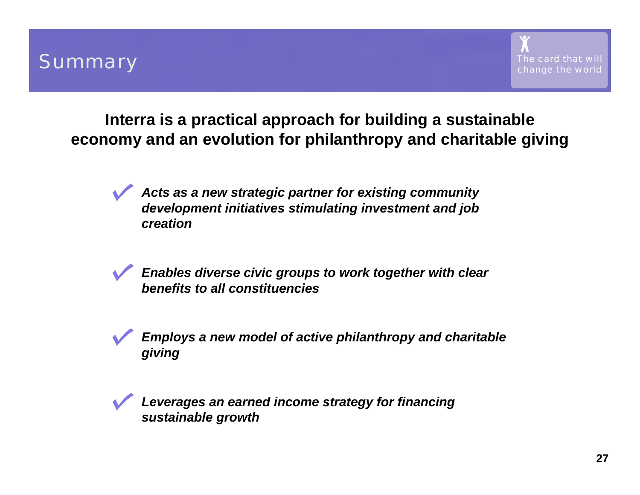## **Interra is a practical approach for building a sustainable economy and an evolution for philanthropy and charitable giving**

*Acts as a new strategic partner for existing community development initiatives stimulating investment and job creation*

*Enables diverse civic groups to work together with clear benefits to all constituencies*



*Employs a new model of active philanthropy and charitable giving*



*Leverages an earned income strategy for financing sustainable growth*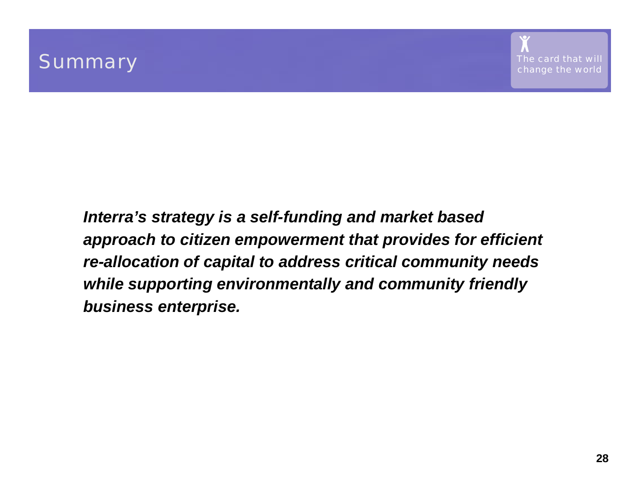*Interra's strategy is a self-funding and market based approach to citizen empowerment that provides for efficient re-allocation of capital to address critical community needs while supporting environmentally and community friendly business enterprise.*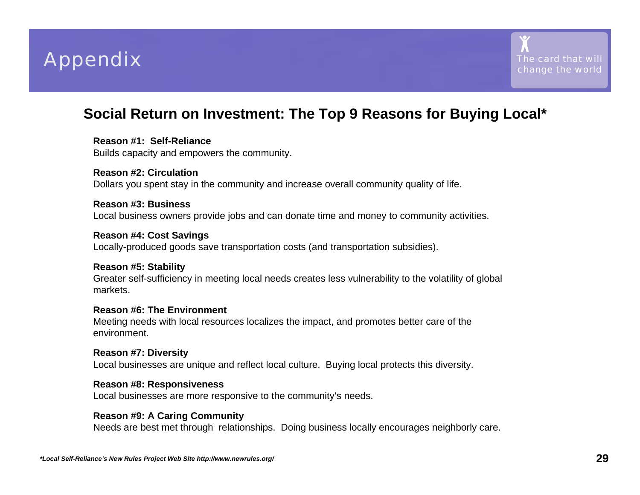



### **Social Return on Investment: The Top 9 Reasons for Buying Local\***

#### **Reason #1: Self-Reliance**

Builds capacity and empowers the community.

#### **Reason #2: Circulation**Dollars you spent stay in the community and increase overall community quality of life.

#### **Reason #3: Business**Local business owners provide jobs and can donate time and money to community activities.

#### **Reason #4: Cost Savings**

Locally-produced goods save transportation costs (and transportation subsidies).

#### **Reason #5: Stability**

Greater self-sufficiency in meeting local needs creates less vulnerability to the volatility of global markets.

#### **Reason #6: The Environment**

Meeting needs with local resources localizes the impact, and promotes better care of the environment.

#### **Reason #7: Diversity**

Local businesses are unique and reflect local culture. Buying local protects this diversity.

#### **Reason #8: Responsiveness**

Local businesses are more responsive to the community's needs.

#### **Reason #9: A Caring Community**

Needs are best met through relationships. Doing business locally encourages neighborly care.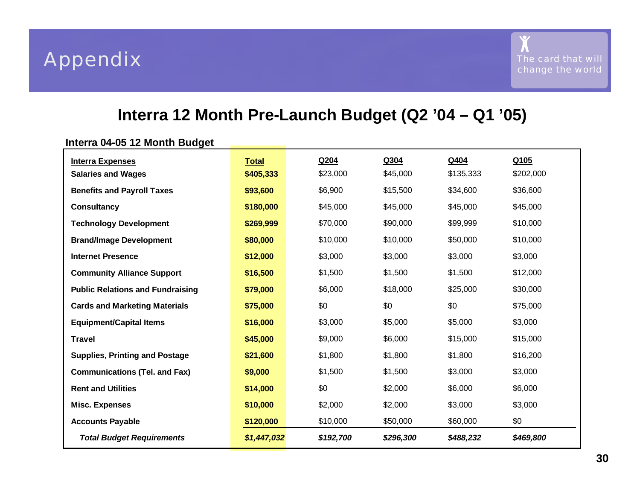### **Interra 12 Month Pre-Launch Budget (Q2 '04 – Q1 '05)**

### **Interra 04-05 12 Month Budget**

| <b>Interra Expenses</b>                 | <b>Total</b> | Q204      | Q304      | Q404      | Q105      |
|-----------------------------------------|--------------|-----------|-----------|-----------|-----------|
| <b>Salaries and Wages</b>               | \$405,333    | \$23,000  | \$45,000  | \$135,333 | \$202,000 |
| <b>Benefits and Payroll Taxes</b>       | \$93,600     | \$6,900   | \$15,500  | \$34,600  | \$36,600  |
| <b>Consultancy</b>                      | \$180,000    | \$45,000  | \$45,000  | \$45,000  | \$45,000  |
| <b>Technology Development</b>           | \$269,999    | \$70,000  | \$90,000  | \$99,999  | \$10,000  |
| <b>Brand/Image Development</b>          | \$80,000     | \$10,000  | \$10,000  | \$50,000  | \$10,000  |
| <b>Internet Presence</b>                | \$12,000     | \$3,000   | \$3,000   | \$3,000   | \$3,000   |
| <b>Community Alliance Support</b>       | \$16,500     | \$1,500   | \$1,500   | \$1,500   | \$12,000  |
| <b>Public Relations and Fundraising</b> | \$79,000     | \$6,000   | \$18,000  | \$25,000  | \$30,000  |
| <b>Cards and Marketing Materials</b>    | \$75,000     | \$0       | \$0       | \$0       | \$75,000  |
| <b>Equipment/Capital Items</b>          | \$16,000     | \$3,000   | \$5,000   | \$5,000   | \$3,000   |
| <b>Travel</b>                           | \$45,000     | \$9,000   | \$6,000   | \$15,000  | \$15,000  |
| <b>Supplies, Printing and Postage</b>   | \$21,600     | \$1,800   | \$1,800   | \$1,800   | \$16,200  |
| <b>Communications (Tel. and Fax)</b>    | \$9,000      | \$1,500   | \$1,500   | \$3,000   | \$3,000   |
| <b>Rent and Utilities</b>               | \$14,000     | \$0       | \$2,000   | \$6,000   | \$6,000   |
| <b>Misc. Expenses</b>                   | \$10,000     | \$2,000   | \$2,000   | \$3,000   | \$3,000   |
| <b>Accounts Payable</b>                 | \$120,000    | \$10,000  | \$50,000  | \$60,000  | \$0       |
| <b>Total Budget Requirements</b>        | \$1,447,032  | \$192,700 | \$296,300 | \$488,232 | \$469,800 |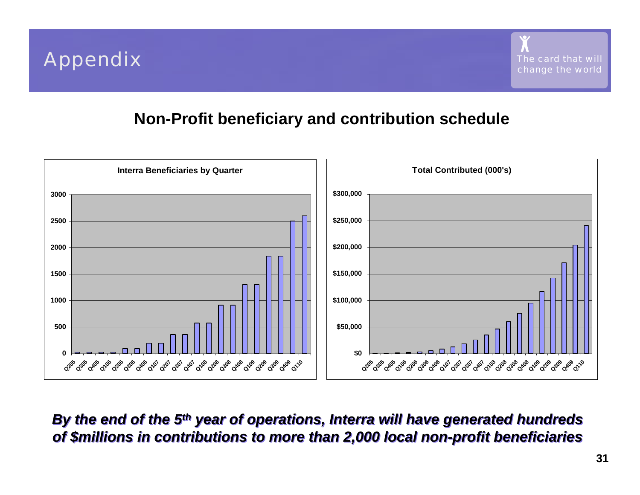

### **Non-Profit beneficiary and contribution schedule**



*By the end of the 5th year of operations, Interra will have generated hundreds By the end of the 5th year of operations, Interra will have generated hundreds of \$millions in contributions to more than 2,000 local non-profit beneficiaries of \$millions in contributions to more than 2,000 local non-profit beneficiaries*